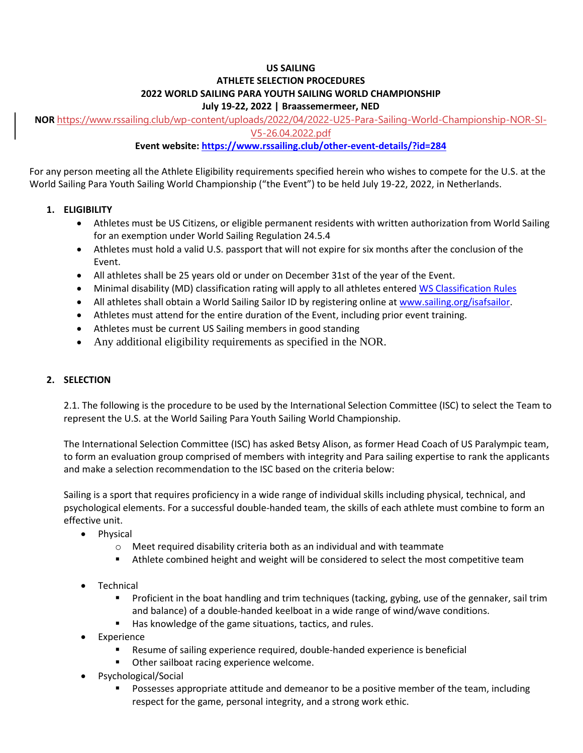#### **US SAILING ATHLETE SELECTION PROCEDURES 2022 WORLD SAILING PARA YOUTH SAILING WORLD CHAMPIONSHIP July 19-22, 2022 | Braassemermeer, NED**

**NOR** [https://www.rssailing.club/wp-content/uploads/2022/04/2022-U25-Para-Sailing-World-Championship-NOR-SI-](https://www.rssailing.club/wp-content/uploads/2022/04/2022-U25-Para-Sailing-World-Championship-NOR-SI-V5-26.04.2022.pdf)[V5-26.04.2022.pdf](https://www.rssailing.club/wp-content/uploads/2022/04/2022-U25-Para-Sailing-World-Championship-NOR-SI-V5-26.04.2022.pdf)

# **Event website:<https://www.rssailing.club/other-event-details/?id=284>**

For any person meeting all the Athlete Eligibility requirements specified herein who wishes to compete for the U.S. at the World Sailing Para Youth Sailing World Championship ("the Event") to be held July 19-22, 2022, in Netherlands.

## **1. ELIGIBILITY**

- Athletes must be US Citizens, or eligible permanent residents with written authorization from World Sailing for an exemption under World Sailing Regulation 24.5.4
- Athletes must hold a valid U.S. passport that will not expire for six months after the conclusion of the Event.
- All athletes shall be 25 years old or under on December 31st of the year of the Event.
- Minimal disability (MD) classification rating will apply to all athletes entered [WS Classification Rules](https://www.sailing.org/tools/documents/WSParaClassificationRulesMay2019-%5B25120%5D.pdf)
- All athletes shall obtain a World Sailing Sailor ID by registering online a[t www.sailing.org/isafsailor.](http://www.sailing.org/isafsailor)
- Athletes must attend for the entire duration of the Event, including prior event training.
- Athletes must be current US Sailing members in good standing
- Any additional eligibility requirements as specified in the NOR.

### **2. SELECTION**

2.1. The following is the procedure to be used by the International Selection Committee (ISC) to select the Team to represent the U.S. at the World Sailing Para Youth Sailing World Championship.

The International Selection Committee (ISC) has asked Betsy Alison, as former Head Coach of US Paralympic team, to form an evaluation group comprised of members with integrity and Para sailing expertise to rank the applicants and make a selection recommendation to the ISC based on the criteria below:

Sailing is a sport that requires proficiency in a wide range of individual skills including physical, technical, and psychological elements. For a successful double-handed team, the skills of each athlete must combine to form an effective unit.

- Physical
	- $\circ$  Meet required disability criteria both as an individual and with teammate
	- Athlete combined height and weight will be considered to select the most competitive team
- **Technical** 
	- **•** Proficient in the boat handling and trim techniques (tacking, gybing, use of the gennaker, sail trim and balance) of a double-handed keelboat in a wide range of wind/wave conditions.
	- Has knowledge of the game situations, tactics, and rules.
- **Experience** 
	- Resume of sailing experience required, double-handed experience is beneficial
	- Other sailboat racing experience welcome.
- Psychological/Social
	- Possesses appropriate attitude and demeanor to be a positive member of the team, including respect for the game, personal integrity, and a strong work ethic.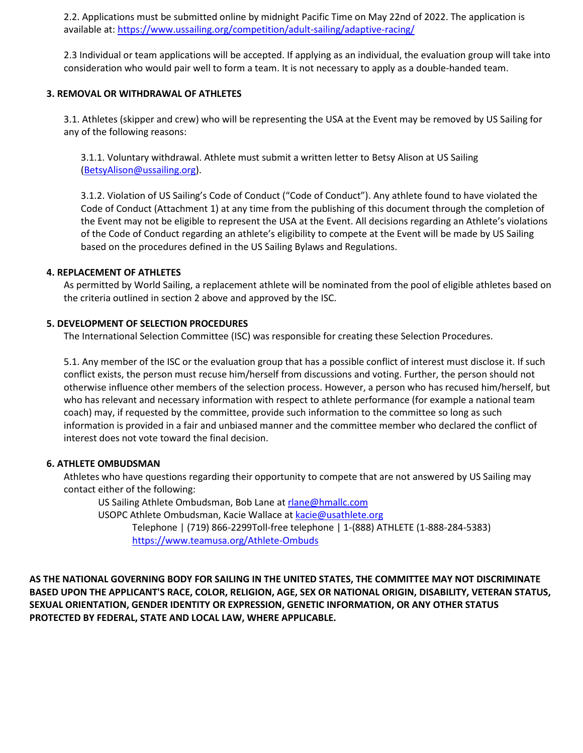2.2. Applications must be submitted online by midnight Pacific Time on May 22nd of 2022. The application is available at: <https://www.ussailing.org/competition/adult-sailing/adaptive-racing/>

2.3 Individual or team applications will be accepted. If applying as an individual, the evaluation group will take into consideration who would pair well to form a team. It is not necessary to apply as a double-handed team.

#### **3. REMOVAL OR WITHDRAWAL OF ATHLETES**

3.1. Athletes (skipper and crew) who will be representing the USA at the Event may be removed by US Sailing for any of the following reasons:

3.1.1. Voluntary withdrawal. Athlete must submit a written letter to Betsy Alison at US Sailing [\(BetsyAlison@ussailing.org\)](mailto:BetsyAlison@ussailing.org).

3.1.2. Violation of US Sailing's Code of Conduct ("Code of Conduct"). Any athlete found to have violated the Code of Conduct (Attachment 1) at any time from the publishing of this document through the completion of the Event may not be eligible to represent the USA at the Event. All decisions regarding an Athlete's violations of the Code of Conduct regarding an athlete's eligibility to compete at the Event will be made by US Sailing based on the procedures defined in the US Sailing Bylaws and Regulations.

#### **4. REPLACEMENT OF ATHLETES**

As permitted by World Sailing, a replacement athlete will be nominated from the pool of eligible athletes based on the criteria outlined in section 2 above and approved by the ISC.

#### **5. DEVELOPMENT OF SELECTION PROCEDURES**

The International Selection Committee (ISC) was responsible for creating these Selection Procedures.

5.1. Any member of the ISC or the evaluation group that has a possible conflict of interest must disclose it. If such conflict exists, the person must recuse him/herself from discussions and voting. Further, the person should not otherwise influence other members of the selection process. However, a person who has recused him/herself, but who has relevant and necessary information with respect to athlete performance (for example a national team coach) may, if requested by the committee, provide such information to the committee so long as such information is provided in a fair and unbiased manner and the committee member who declared the conflict of interest does not vote toward the final decision.

#### **6. ATHLETE OMBUDSMAN**

Athletes who have questions regarding their opportunity to compete that are not answered by US Sailing may contact either of the following:

US Sailing Athlete Ombudsman, Bob Lane at [rlane@hmallc.com](mailto:rlane@hmallc.com)

USOPC Athlete Ombudsman, Kacie Wallace at [kacie@usathlete.org](mailto:kacie@usathlete.org)

Telephone | (719) 866-2299Toll-free telephone | 1-(888) ATHLETE (1-888-284-5383) <https://www.teamusa.org/Athlete-Ombuds>

**AS THE NATIONAL GOVERNING BODY FOR SAILING IN THE UNITED STATES, THE COMMITTEE MAY NOT DISCRIMINATE BASED UPON THE APPLICANT'S RACE, COLOR, RELIGION, AGE, SEX OR NATIONAL ORIGIN, DISABILITY, VETERAN STATUS, SEXUAL ORIENTATION, GENDER IDENTITY OR EXPRESSION, GENETIC INFORMATION, OR ANY OTHER STATUS PROTECTED BY FEDERAL, STATE AND LOCAL LAW, WHERE APPLICABLE.**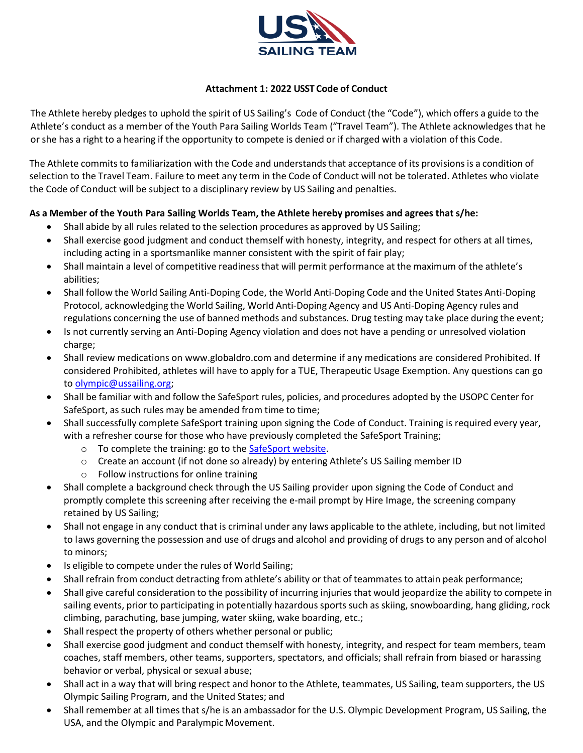

### **Attachment 1: 2022 USST Code of Conduct**

The Athlete hereby pledges to uphold the spirit of US Sailing's Code of Conduct (the "Code"), which offers a guide to the Athlete's conduct as a member of the Youth Para Sailing Worlds Team ("Travel Team"). The Athlete acknowledges that he or she has a right to a hearing if the opportunity to compete is denied or if charged with a violation of this Code.

The Athlete commits to familiarization with the Code and understands that acceptance of its provisions is a condition of selection to the Travel Team. Failure to meet any term in the Code of Conduct will not be tolerated. Athletes who violate the Code of Conduct will be subject to a disciplinary review by US Sailing and penalties.

#### **As a Member of the Youth Para Sailing Worlds Team, the Athlete hereby promises and agrees that s/he:**

- Shall abide by all rules related to the selection procedures as approved by US Sailing;
- Shall exercise good judgment and conduct themself with honesty, integrity, and respect for others at all times, including acting in a sportsmanlike manner consistent with the spirit of fair play;
- Shall maintain a level of competitive readiness that will permit performance at the maximum of the athlete's abilities;
- Shall follow the World Sailing Anti-Doping Code, the World Anti-Doping Code and the United States Anti-Doping Protocol, acknowledging the World Sailing, World Anti-Doping Agency and US Anti-Doping Agency rules and regulations concerning the use of banned methods and substances. Drug testing may take place during the event;
- Is not currently serving an Anti-Doping Agency violation and does not have a pending or unresolved violation charge;
- Shall review medications on www.globaldro.com and determine if any medications are considered Prohibited. If considered Prohibited, athletes will have to apply for a TUE, Therapeutic Usage Exemption. Any questions can go to [olympic@ussailing.org;](mailto:olympic@ussailing.org)
- Shall be familiar with and follow the SafeSport rules, policies, and procedures adopted by the USOPC Center for SafeSport, as such rules may be amended from time to time;
- Shall successfully complete SafeSport training upon signing the Code of Conduct. Training is required every year, with a refresher course for those who have previously completed the SafeSport Training;
	- o To complete the training: go to the [SafeSport website.](file:///C:/Users/thomasmistele/Downloads/1.https:/safesport.org/authentication/register%3ftoken=9d8ee5fa-5241-4dd2-a606-199d2f21e097)
	- o Create an account (if not done so already) by entering Athlete's US Sailing member ID
	- o Follow instructions for online training
- Shall complete a background check through the US Sailing provider upon signing the Code of Conduct and promptly complete this screening after receiving the e-mail prompt by Hire Image, the screening company retained by US Sailing;
- Shall not engage in any conduct that is criminal under any laws applicable to the athlete, including, but not limited to laws governing the possession and use of drugs and alcohol and providing of drugs to any person and of alcohol to minors;
- Is eligible to compete under the rules of World Sailing;
- Shall refrain from conduct detracting from athlete's ability or that of teammates to attain peak performance;
- Shall give careful consideration to the possibility of incurring injuries that would jeopardize the ability to compete in sailing events, prior to participating in potentially hazardous sports such as skiing, snowboarding, hang gliding, rock climbing, parachuting, base jumping, waterskiing, wake boarding, etc.;
- Shall respect the property of others whether personal or public;
- Shall exercise good judgment and conduct themself with honesty, integrity, and respect for team members, team coaches, staff members, other teams, supporters, spectators, and officials; shall refrain from biased or harassing behavior or verbal, physical or sexual abuse;
- Shall act in a way that will bring respect and honor to the Athlete, teammates, US Sailing, team supporters, the US Olympic Sailing Program, and the United States; and
- Shall remember at all times that s/he is an ambassador for the U.S. Olympic Development Program, US Sailing, the USA, and the Olympic and Paralympic Movement.